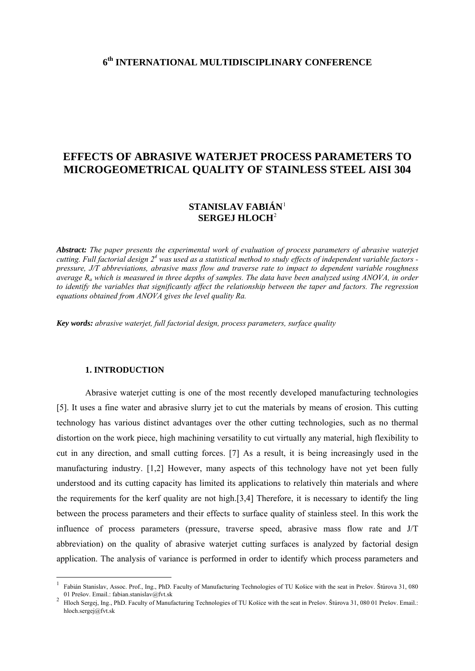# **6th INTERNATIONAL MULTIDISCIPLINARY CONFERENCE**

# **EFFECTS OF ABRASIVE WATERJET PROCESS PARAMETERS TO MICROGEOMETRICAL QUALITY OF STAINLESS STEEL AISI 304**

## **STANISLAV FABIÁN**[1](#page-0-0) **SERGEJ HLOCH**[2](#page-0-1)

*Abstract: The paper presents the experimental work of evaluation of process parameters of abrasive waterjet*  cutting. Full factorial design 2<sup>4</sup> was used as a statistical method to study effects of independent variable factors *pressure, J/T abbreviations, abrasive mass flow and traverse rate to impact to dependent variable roughness average Ra which is measured in three depths of samples. The data have been analyzed using ANOVA, in order to identify the variables that significantly affect the relationship between the taper and factors. The regression equations obtained from ANOVA gives the level quality Ra.* 

*Key words: abrasive waterjet, full factorial design, process parameters, surface quality*

## **1. INTRODUCTION**

 Abrasive waterjet cutting is one of the most recently developed manufacturing technologies [5]. It uses a fine water and abrasive slurry jet to cut the materials by means of erosion. This cutting technology has various distinct advantages over the other cutting technologies, such as no thermal distortion on the work piece, high machining versatility to cut virtually any material, high flexibility to cut in any direction, and small cutting forces. [7] As a result, it is being increasingly used in the manufacturing industry. [1,2] However, many aspects of this technology have not yet been fully understood and its cutting capacity has limited its applications to relatively thin materials and where the requirements for the kerf quality are not high.[3,4] Therefore, it is necessary to identify the ling between the process parameters and their effects to surface quality of stainless steel. In this work the influence of process parameters (pressure, traverse speed, abrasive mass flow rate and J/T abbreviation) on the quality of abrasive waterjet cutting surfaces is analyzed by factorial design application. The analysis of variance is performed in order to identify which process parameters and

<span id="page-0-0"></span><sup>1</sup> Fabián Stanislav, Assoc. Prof., Ing., PhD. Faculty of Manufacturing Technologies of TU Košice with the seat in Prešov. Štúrova 31, 080 01 Prešov. Email.: fabian.stanislav@fvt.sk <sup>2</sup>

<span id="page-0-1"></span>Hloch Sergej, Ing., PhD. Faculty of Manufacturing Technologies of TU Košice with the seat in Prešov. Štúrova 31, 080 01 Prešov. Email.: hloch.sergej@fvt.sk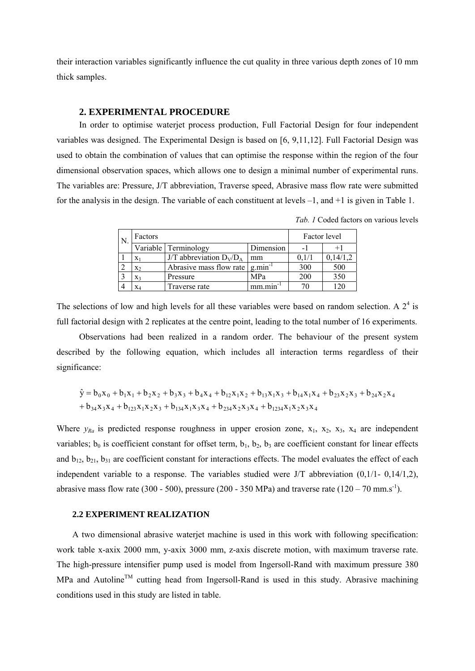their interaction variables significantly influence the cut quality in three various depth zones of 10 mm thick samples.

#### **2. EXPERIMENTAL PROCEDURE**

In order to optimise waterjet process production, Full Factorial Design for four independent variables was designed. The Experimental Design is based on [6, 9,11,12]. Full Factorial Design was used to obtain the combination of values that can optimise the response within the region of the four dimensional observation spaces, which allows one to design a minimal number of experimental runs. The variables are: Pressure, J/T abbreviation, Traverse speed, Abrasive mass flow rate were submitted for the analysis in the design. The variable of each constituent at levels –1, and +1 is given in Table 1.

| N. | Factors |                                                            |               | Factor level |          |
|----|---------|------------------------------------------------------------|---------------|--------------|----------|
|    |         | Variable Terminology                                       | Dimension     | - 1          | $+1$     |
|    | $X_1$   | J/T abbreviation $D_V/D_A$                                 | mm            | 0.1/1        | 0,14/1,2 |
|    | $X_2$   | Abrasive mass flow rate $g_{\text{.}}$ g.min <sup>-1</sup> |               | 300          | 500      |
|    | $X_3$   | Pressure                                                   | <b>MPa</b>    | 200          | 350      |
|    | $X_4$   | Traverse rate                                              | $mm.min^{-1}$ | 70           | 120      |

*Tab. 1* Coded factors on various levels

The selections of low and high levels for all these variables were based on random selection. A  $2<sup>4</sup>$  is full factorial design with 2 replicates at the centre point, leading to the total number of 16 experiments.

Observations had been realized in a random order. The behaviour of the present system described by the following equation, which includes all interaction terms regardless of their significance:

$$
\hat{y} = b_0x_0 + b_1x_1 + b_2x_2 + b_3x_3 + b_4x_4 + b_{12}x_1x_2 + b_{13}x_1x_3 + b_{14}x_1x_4 + b_{23}x_2x_3 + b_{24}x_2x_4 + b_{34}x_3x_4 + b_{123}x_1x_2x_3 + b_{134}x_1x_3x_4 + b_{234}x_2x_3x_4 + b_{123}x_1x_2x_3
$$

Where  $y_{Ra}$  is predicted response roughness in upper erosion zone,  $x_1$ ,  $x_2$ ,  $x_3$ ,  $x_4$  are independent variables;  $b_0$  is coefficient constant for offset term,  $b_1$ ,  $b_2$ ,  $b_3$  are coefficient constant for linear effects and  $b_{12}$ ,  $b_{21}$ ,  $b_{31}$  are coefficient constant for interactions effects. The model evaluates the effect of each independent variable to a response. The variables studied were J/T abbreviation (0,1/1- 0,14/1,2), abrasive mass flow rate (300 - 500), pressure (200 - 350 MPa) and traverse rate (120 – 70 mm.s<sup>-1</sup>).

#### **2.2 EXPERIMENT REALIZATION**

A two dimensional abrasive waterjet machine is used in this work with following specification: work table x-axix 2000 mm, y-axix 3000 mm, z-axis discrete motion, with maximum traverse rate. The high-pressure intensifier pump used is model from Ingersoll-Rand with maximum pressure 380  $MPa$  and Autoline<sup>TM</sup> cutting head from Ingersoll-Rand is used in this study. Abrasive machining conditions used in this study are listed in table.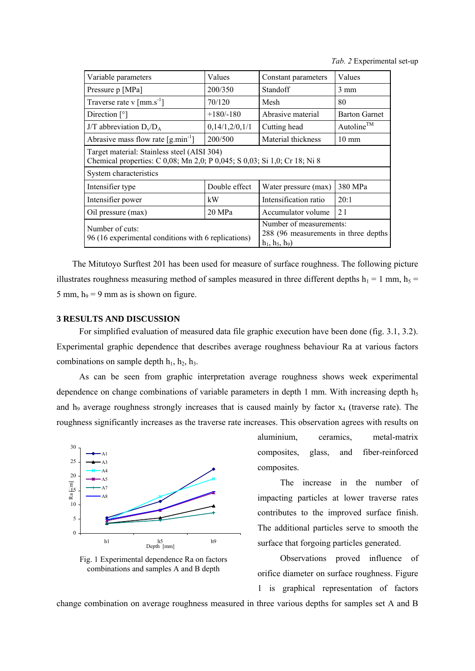*Tab. 2* Experimental set-up

| Variable parameters                                                                                                      | Values                                                                               | Constant parameters   | Values                 |  |  |  |
|--------------------------------------------------------------------------------------------------------------------------|--------------------------------------------------------------------------------------|-----------------------|------------------------|--|--|--|
| Pressure p [MPa]                                                                                                         | 200/350                                                                              | Standoff              | $3 \text{ mm}$         |  |  |  |
| Traverse rate v $\lceil \text{mm} \cdot \text{s}^{-1} \rceil$                                                            | 70/120                                                                               | Mesh                  | 80                     |  |  |  |
| Direction $\lceil \circ \rceil$                                                                                          | $+180/-180$                                                                          | Abrasive material     | <b>Barton Garnet</b>   |  |  |  |
| J/T abbreviation $D_v/D_A$                                                                                               | 0,14/1,2/0,1/1                                                                       | Cutting head          | Autoline <sup>TM</sup> |  |  |  |
| Abrasive mass flow rate $\left[\text{g,min}^{-1}\right]$                                                                 | 200/500                                                                              | Material thickness    | $10 \text{ mm}$        |  |  |  |
| Target material: Stainless steel (AISI 304)<br>Chemical properties: C 0,08; Mn 2,0; P 0,045; S 0,03; Si 1,0; Cr 18; Ni 8 |                                                                                      |                       |                        |  |  |  |
| System characteristics                                                                                                   |                                                                                      |                       |                        |  |  |  |
| Intensifier type                                                                                                         | Double effect                                                                        | Water pressure (max)  | 380 MPa                |  |  |  |
| Intensifier power                                                                                                        | kW                                                                                   | Intensification ratio | 20:1                   |  |  |  |
| Oil pressure (max)                                                                                                       | 20 MPa                                                                               | Accumulator volume    | 21                     |  |  |  |
| Number of cuts:<br>96 (16 experimental conditions with 6 replications)                                                   | Number of measurements:<br>288 (96 measurements in three depths)<br>$h_1, h_5, h_9)$ |                       |                        |  |  |  |

The Mitutoyo Surftest 201 has been used for measure of surface roughness. The following picture illustrates roughness measuring method of samples measured in three different depths  $h_1 = 1$  mm,  $h_5 =$ 5 mm,  $h_9 = 9$  mm as is shown on figure.

## **3 RESULTS AND DISCUSSION**

For simplified evaluation of measured data file graphic execution have been done (fig. 3.1, 3.2). Experimental graphic dependence that describes average roughness behaviour Ra at various factors combinations on sample depth  $h_1$ ,  $h_2$ ,  $h_3$ .

As can be seen from graphic interpretation average roughness shows week experimental dependence on change combinations of variable parameters in depth 1 mm. With increasing depth  $h<sub>5</sub>$ and  $h_9$  average roughness strongly increases that is caused mainly by factor  $x_4$  (traverse rate). The roughness significantly increases as the traverse rate increases. This observation agrees with results on



Fig. 1 Experimental dependence Ra on factors combinations and samples A and B depth

aluminium, ceramics, metal-matrix composites, glass, and fiber-reinforced composites.

The increase in the number of impacting particles at lower traverse rates contributes to the improved surface finish. The additional particles serve to smooth the surface that forgoing particles generated.

Observations proved influence of orifice diameter on surface roughness. Figure

1 is graphical representation of factors

change combination on average roughness measured in three various depths for samples set A and B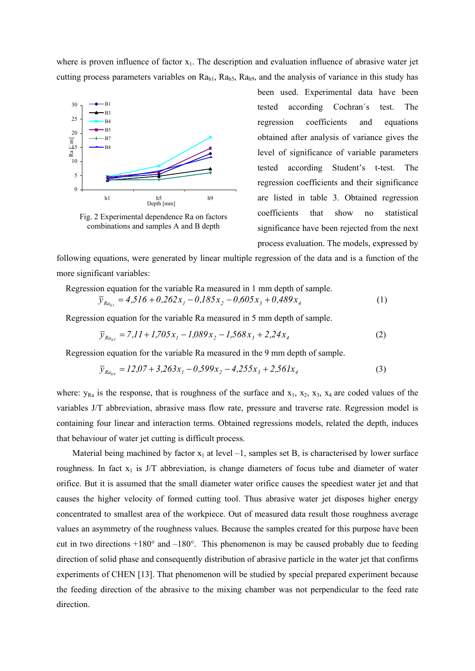where is proven influence of factor  $x_1$ . The description and evaluation influence of abrasive water jet cutting process parameters variables on  $Ra<sub>h1</sub>$ ,  $Ra<sub>h5</sub>$ ,  $Ra<sub>h9</sub>$ , and the analysis of variance in this study has



Fig. 2 Experimental dependence Ra on factors combinations and samples A and B depth

been used. Experimental data have been tested according Cochran´s test. The regression coefficients and equations obtained after analysis of variance gives the level of significance of variable parameters tested according Student's t-test. The regression coefficients and their significance are listed in table 3. Obtained regression coefficients that show no statistical significance have been rejected from the next process evaluation. The models, expressed by

following equations, were generated by linear multiple regression of the data and is a function of the more significant variables:

Regression equation for the variable Ra measured in 1 mm depth of sample.

$$
\overline{y}_{Ra_{h1}} = 4,516 + 0,262x_1 - 0,185x_2 - 0,605x_3 + 0,489x_4
$$
\n(1)

Regression equation for the variable Ra measured in 5 mm depth of sample.

$$
\overline{y}_{Ra_{hs}} = 7,11 + 1,705x_1 - 1,089x_2 - 1,568x_3 + 2,24x_4
$$
\n(2)

Regression equation for the variable Ra measured in the 9 mm depth of sample.

$$
\overline{y}_{Ra_{h9}} = 12.07 + 3.263x_1 - 0.599x_2 - 4.255x_3 + 2.561x_4
$$
\n(3)

where:  $y_{Ra}$  is the response, that is roughness of the surface and  $x_1$ ,  $x_2$ ,  $x_3$ ,  $x_4$  are coded values of the variables J/T abbreviation, abrasive mass flow rate, pressure and traverse rate. Regression model is containing four linear and interaction terms. Obtained regressions models, related the depth, induces that behaviour of water jet cutting is difficult process.

Material being machined by factor  $x_1$  at level  $-1$ , samples set B, is characterised by lower surface roughness. In fact  $x_1$  is J/T abbreviation, is change diameters of focus tube and diameter of water orifice. But it is assumed that the small diameter water orifice causes the speediest water jet and that causes the higher velocity of formed cutting tool. Thus abrasive water jet disposes higher energy concentrated to smallest area of the workpiece. Out of measured data result those roughness average values an asymmetry of the roughness values. Because the samples created for this purpose have been cut in two directions +180° and –180°. This phenomenon is may be caused probably due to feeding direction of solid phase and consequently distribution of abrasive particle in the water jet that confirms experiments of CHEN [13]. That phenomenon will be studied by special prepared experiment because the feeding direction of the abrasive to the mixing chamber was not perpendicular to the feed rate direction.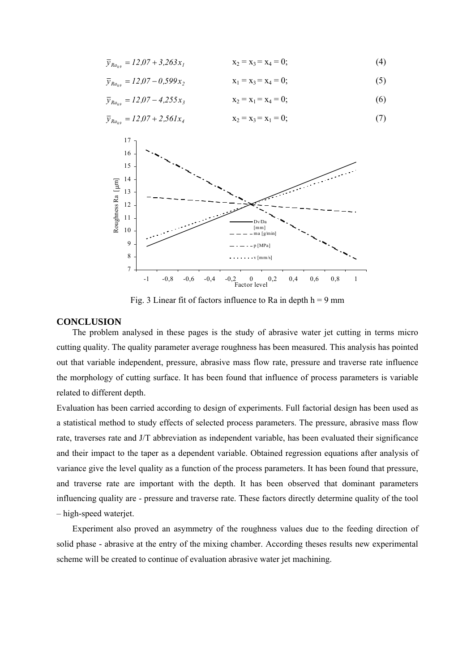$$
\overline{y}_{Ra_{h9}} = 12.07 + 3.263x_1 \qquad x_2 = x_3 = x_4 = 0; \tag{4}
$$

$$
\overline{y}_{Ra_{h9}} = 12.07 - 0.599x_2 \qquad x_1 = x_3 = x_4 = 0; \tag{5}
$$

$$
\overline{y}_{Ra_{h9}} = 12.07 - 4.255x_3 \qquad x_2 = x_1 = x_4 = 0; \tag{6}
$$

$$
\overline{y}_{Ra_{h9}} = 12.07 + 2.561x_4 \qquad x_2 = x_3 = x_1 = 0;
$$
 (7)



Fig. 3 Linear fit of factors influence to Ra in depth  $h = 9$  mm

#### **CONCLUSION**

The problem analysed in these pages is the study of abrasive water jet cutting in terms micro cutting quality. The quality parameter average roughness has been measured. This analysis has pointed out that variable independent, pressure, abrasive mass flow rate, pressure and traverse rate influence the morphology of cutting surface. It has been found that influence of process parameters is variable related to different depth.

Evaluation has been carried according to design of experiments. Full factorial design has been used as a statistical method to study effects of selected process parameters. The pressure, abrasive mass flow rate, traverses rate and J/T abbreviation as independent variable, has been evaluated their significance and their impact to the taper as a dependent variable. Obtained regression equations after analysis of variance give the level quality as a function of the process parameters. It has been found that pressure, and traverse rate are important with the depth. It has been observed that dominant parameters influencing quality are - pressure and traverse rate. These factors directly determine quality of the tool – high-speed waterjet.

Experiment also proved an asymmetry of the roughness values due to the feeding direction of solid phase - abrasive at the entry of the mixing chamber. According theses results new experimental scheme will be created to continue of evaluation abrasive water jet machining.